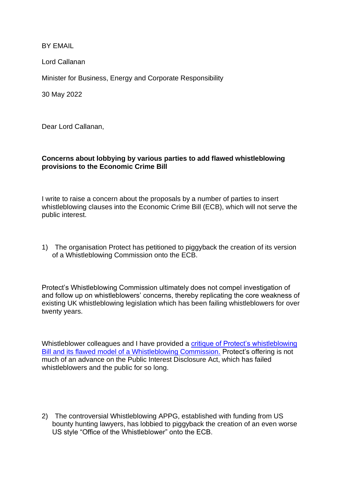BY EMAIL

Lord Callanan

Minister for Business, Energy and Corporate Responsibility

30 May 2022

Dear Lord Callanan,

## **Concerns about lobbying by various parties to add flawed whistleblowing provisions to the Economic Crime Bill**

I write to raise a concern about the proposals by a number of parties to insert whistleblowing clauses into the Economic Crime Bill (ECB), which will not serve the public interest.

1) The organisation Protect has petitioned to piggyback the creation of its version of a Whistleblowing Commission onto the ECB.

Protect's Whistleblowing Commission ultimately does not compel investigation of and follow up on whistleblowers' concerns, thereby replicating the core weakness of existing UK whistleblowing legislation which has been failing whistleblowers for over twenty years.

Whistleblower colleagues and I have provided a [critique of Protect's whistleblowing](https://minhalexander.com/2019/12/19/response-to-protects-proposed-changes-to-uk-whistleblowing-law/)  [Bill and its flawed model of a Whistleblowing Commission.](https://minhalexander.com/2019/12/19/response-to-protects-proposed-changes-to-uk-whistleblowing-law/) Protect's offering is not much of an advance on the Public Interest Disclosure Act, which has failed whistleblowers and the public for so long.

2) The controversial Whistleblowing APPG, established with funding from US bounty hunting lawyers, has lobbied to piggyback the creation of an even worse US style "Office of the Whistleblower" onto the ECB.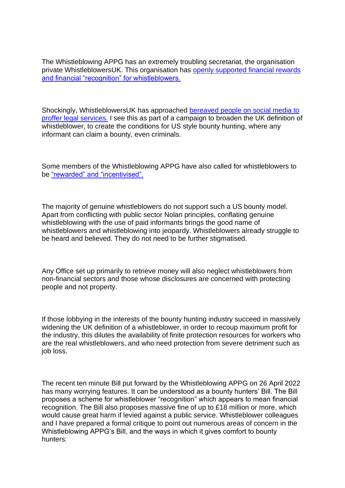The Whistleblowing APPG has an extremely troubling secretariat, the organisation private WhistleblowersUK. This organisation has [openly supported financial rewards](https://twitter.com/alexander_minh/status/1528909979285086210)  [and financial "recognition" for whistleblowers.](https://twitter.com/alexander_minh/status/1528909979285086210)

Shockingly, WhistleblowersUK has approached bereaved people on social media to [proffer legal services.](https://twitter.com/alexander_minh/status/1527583050049245184) I see this as part of a campaign to broaden the UK definition of whistleblower, to create the conditions for US style bounty hunting, where any informant can claim a bounty, even criminals.

Some members of the Whistleblowing APPG have also called for whistleblowers to be ["rewarded" and "incentivised".](https://twitter.com/alexander_minh/status/1528909979285086210)

The majority of genuine whistleblowers do not support such a US bounty model. Apart from conflicting with public sector Nolan principles, conflating genuine whistleblowing with the use of paid informants brings the good name of whistleblowers and whistleblowing into jeopardy. Whistleblowers already struggle to be heard and believed. They do not need to be further stigmatised.

Any Office set up primarily to retrieve money will also neglect whistleblowers from non-financial sectors and those whose disclosures are concerned with protecting people and not property.

If those lobbying in the interests of the bounty hunting industry succeed in massively widening the UK definition of a whistleblower, in order to recoup maximum profit for the industry, this dilutes the availability of finite protection resources for workers who are the real whistleblowers, and who need protection from severe detriment such as job loss.

The recent ten minute Bill put forward by the Whistleblowing APPG on 26 April 2022 has many worrying features. It can be understood as a bounty hunters' Bill. The Bill proposes a scheme for whistleblower "recognition" which appears to mean financial recognition. The Bill also proposes massive fine of up to £18 million or more, which would cause great harm if levied against a public service. Whistleblower colleagues and I have prepared a formal critique to point out numerous areas of concern in the Whistleblowing APPG's Bill, and the ways in which it gives comfort to bounty hunters: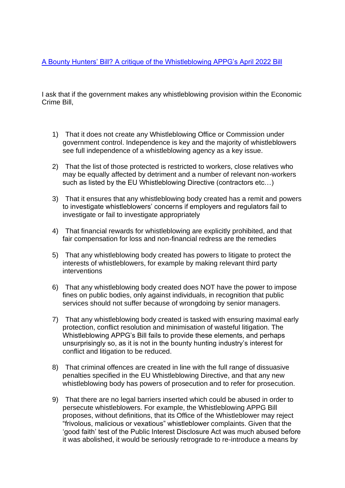[A Bounty Hunters' Bill? A critique of the Whistleblowing APPG's April 2022 Bill](https://minhalexander.com/2022/05/24/a-bounty-hunters-bill-a-critique-of-the-whistleblowing-appgs-april-2022-bill/)

I ask that if the government makes any whistleblowing provision within the Economic Crime Bill,

- 1) That it does not create any Whistleblowing Office or Commission under government control. Independence is key and the majority of whistleblowers see full independence of a whistleblowing agency as a key issue.
- 2) That the list of those protected is restricted to workers, close relatives who may be equally affected by detriment and a number of relevant non-workers such as listed by the EU Whistleblowing Directive (contractors etc…)
- 3) That it ensures that any whistleblowing body created has a remit and powers to investigate whistleblowers' concerns if employers and regulators fail to investigate or fail to investigate appropriately
- 4) That financial rewards for whistleblowing are explicitly prohibited, and that fair compensation for loss and non-financial redress are the remedies
- 5) That any whistleblowing body created has powers to litigate to protect the interests of whistleblowers, for example by making relevant third party interventions
- 6) That any whistleblowing body created does NOT have the power to impose fines on public bodies, only against individuals, in recognition that public services should not suffer because of wrongdoing by senior managers.
- 7) That any whistleblowing body created is tasked with ensuring maximal early protection, conflict resolution and minimisation of wasteful litigation. The Whistleblowing APPG's Bill fails to provide these elements, and perhaps unsurprisingly so, as it is not in the bounty hunting industry's interest for conflict and litigation to be reduced.
- 8) That criminal offences are created in line with the full range of dissuasive penalties specified in the EU Whistleblowing Directive, and that any new whistleblowing body has powers of prosecution and to refer for prosecution.
- 9) That there are no legal barriers inserted which could be abused in order to persecute whistleblowers. For example, the Whistleblowing APPG Bill proposes, without definitions, that its Office of the Whistleblower may reject "frivolous, malicious or vexatious" whistleblower complaints. Given that the 'good faith' test of the Public Interest Disclosure Act was much abused before it was abolished, it would be seriously retrograde to re-introduce a means by